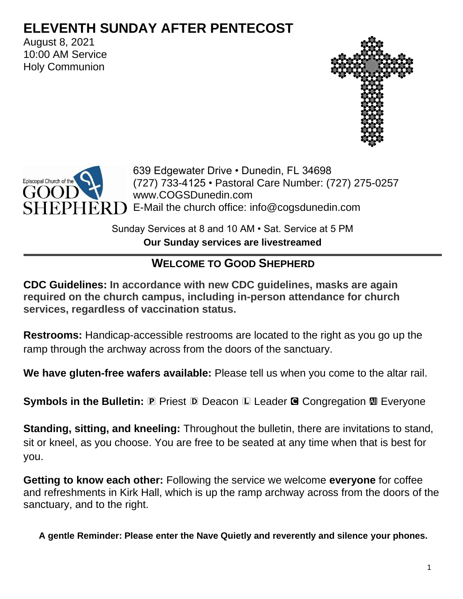# **ELEVENTH SUNDAY AFTER PENTECOST**

August 8, 2021 10:00 AM Service Holy Communion





639 Edgewater Drive • Dunedin, FL 34698 (727) 733-4125 • Pastoral Care Number: (727) 275-0257 www.COGSDunedin.com  $PHER$   $\Box$  E-Mail the church office: info@cogsdunedin.com

> Sunday Services at 8 and 10 AM • Sat. Service at 5 PM **Our Sunday services are livestreamed**

# **WELCOME TO GOOD SHEPHERD**

**CDC Guidelines: In accordance with new CDC guidelines, masks are again required on the church campus, including in-person attendance for church services, regardless of vaccination status.**

**Restrooms:** Handicap-accessible restrooms are located to the right as you go up the ramp through the archway across from the doors of the sanctuary.

**We have gluten-free wafers available:** Please tell us when you come to the altar rail.

**Symbols in the Bulletin: P Priest D Deacon L Leader G Congregation**  $\mathbf{M}$  **Everyone** 

**Standing, sitting, and kneeling:** Throughout the bulletin, there are invitations to stand, sit or kneel, as you choose. You are free to be seated at any time when that is best for you.

**Getting to know each other:** Following the service we welcome **everyone** for coffee and refreshments in Kirk Hall, which is up the ramp archway across from the doors of the sanctuary, and to the right.

**A gentle Reminder: Please enter the Nave Quietly and reverently and silence your phones.**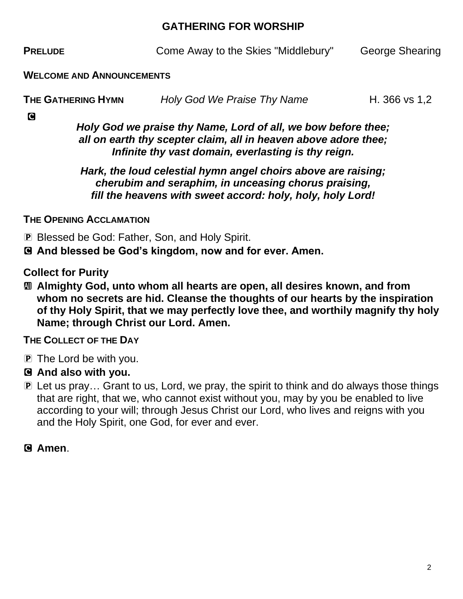#### **GATHERING FOR WORSHIP**

**PRELUDE** Come Away to the Skies "Middlebury" George Shearing

#### **WELCOME AND ANNOUNCEMENTS**

| <b>THE GATHERING HYMN</b> | Holy God We Praise Thy Name | H. 366 vs 1,2 |
|---------------------------|-----------------------------|---------------|
|                           |                             |               |

C

*Holy God we praise thy Name, Lord of all, we bow before thee; all on earth thy scepter claim, all in heaven above adore thee; Infinite thy vast domain, everlasting is thy reign.* 

*Hark, the loud celestial hymn angel choirs above are raising; cherubim and seraphim, in unceasing chorus praising, fill the heavens with sweet accord: holy, holy, holy Lord!*

**THE OPENING ACCLAMATION**

P Blessed be God: Father, Son, and Holy Spirit.

C **And blessed be God's kingdom, now and for ever. Amen.**

**Collect for Purity**

a **Almighty God, unto whom all hearts are open, all desires known, and from whom no secrets are hid. Cleanse the thoughts of our hearts by the inspiration of thy Holy Spirit, that we may perfectly love thee, and worthily magnify thy holy Name; through Christ our Lord. Amen.**

**THE COLLECT OF THE DAY**

- P The Lord be with you.
- C **And also with you.**
- P Let us pray… Grant to us, Lord, we pray, the spirit to think and do always those things that are right, that we, who cannot exist without you, may by you be enabled to live according to your will; through Jesus Christ our Lord, who lives and reigns with you and the Holy Spirit, one God, for ever and ever.

C **Amen**.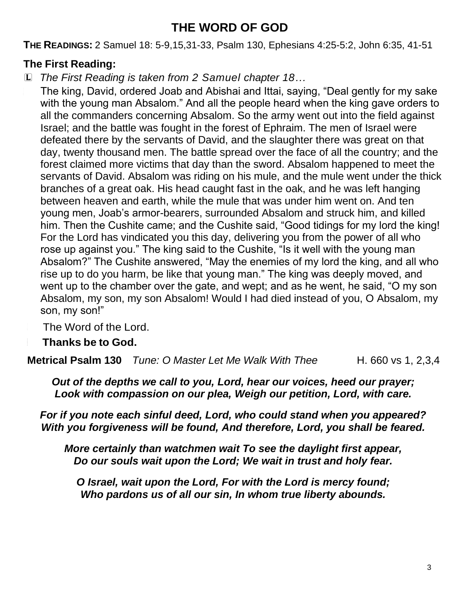# **THE WORD OF GOD**

**THE READINGS:** 2 Samuel 18: 5-9,15,31-33, Psalm 130, Ephesians 4:25-5:2, John 6:35, 41-51

# **The First Reading:**

L *The First Reading is taken from 2 Samuel chapter 18…*

The king, David, ordered Joab and Abishai and Ittai, saying, "Deal gently for my sake with the young man Absalom." And all the people heard when the king gave orders to all the commanders concerning Absalom. So the army went out into the field against Israel; and the battle was fought in the forest of Ephraim. The men of Israel were defeated there by the servants of David, and the slaughter there was great on that day, twenty thousand men. The battle spread over the face of all the country; and the forest claimed more victims that day than the sword. Absalom happened to meet the servants of David. Absalom was riding on his mule, and the mule went under the thick branches of a great oak. His head caught fast in the oak, and he was left hanging between heaven and earth, while the mule that was under him went on. And ten young men, Joab's armor-bearers, surrounded Absalom and struck him, and killed him. Then the Cushite came; and the Cushite said, "Good tidings for my lord the king! For the Lord has vindicated you this day, delivering you from the power of all who rose up against you." The king said to the Cushite, "Is it well with the young man Absalom?" The Cushite answered, "May the enemies of my lord the king, and all who rise up to do you harm, be like that young man." The king was deeply moved, and went up to the chamber over the gate, and wept; and as he went, he said, "O my son Absalom, my son, my son Absalom! Would I had died instead of you, O Absalom, my son, my son!"

The Word of the Lord.

<sup>C</sup> **Thanks be to God.**

**Metrical Psalm 130** *Tune: O Master Let Me Walk With Thee* H. 660 vs 1, 2,3,4

*Out of the depths we call to you, Lord, hear our voices, heed our prayer; Look with compassion on our plea, Weigh our petition, Lord, with care.*

*For if you note each sinful deed, Lord, who could stand when you appeared? With you forgiveness will be found, And therefore, Lord, you shall be feared.*

*More certainly than watchmen wait To see the daylight first appear, Do our souls wait upon the Lord; We wait in trust and holy fear.*

*O Israel, wait upon the Lord, For with the Lord is mercy found; Who pardons us of all our sin, In whom true liberty abounds.*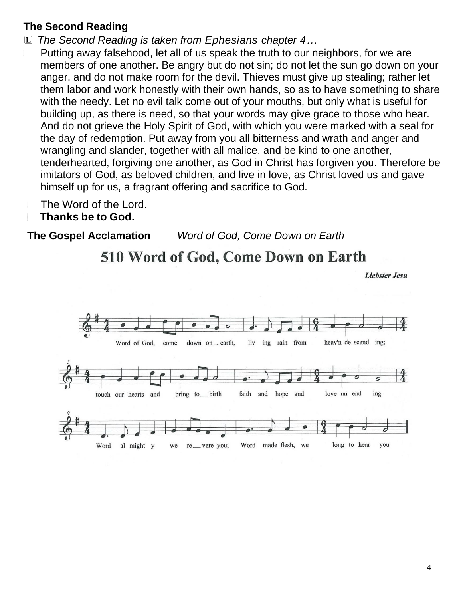## **The Second Reading**

L *The Second Reading is taken from Ephesians chapter 4…*

Putting away falsehood, let all of us speak the truth to our neighbors, for we are members of one another. Be angry but do not sin; do not let the sun go down on your anger, and do not make room for the devil. Thieves must give up stealing; rather let them labor and work honestly with their own hands, so as to have something to share with the needy. Let no evil talk come out of your mouths, but only what is useful for building up, as there is need, so that your words may give grace to those who hear. And do not grieve the Holy Spirit of God, with which you were marked with a seal for the day of redemption. Put away from you all bitterness and wrath and anger and wrangling and slander, together with all malice, and be kind to one another, tenderhearted, forgiving one another, as God in Christ has forgiven you. Therefore be imitators of God, as beloved children, and live in love, as Christ loved us and gave himself up for us, a fragrant offering and sacrifice to God.

The Word of the Lord.

#### <sup>C</sup> **Thanks be to God.**

**The Gospel Acclamation** *Word of God, Come Down on Earth*

# 510 Word of God, Come Down on Earth

**Liebster Jesu** 

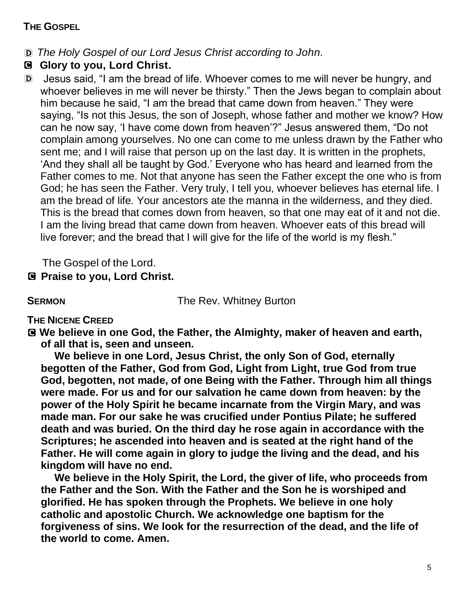#### **THE GOSPEL**

- D *The Holy Gospel of our Lord Jesus Christ according to John.*
- C **Glory to you, Lord Christ.**
- D Jesus said, "I am the bread of life. Whoever comes to me will never be hungry, and whoever believes in me will never be thirsty." Then the Jews began to complain about him because he said, "I am the bread that came down from heaven." They were saying, "Is not this Jesus, the son of Joseph, whose father and mother we know? How can he now say, 'I have come down from heaven'?" Jesus answered them, "Do not complain among yourselves. No one can come to me unless drawn by the Father who sent me; and I will raise that person up on the last day. It is written in the prophets, 'And they shall all be taught by God.' Everyone who has heard and learned from the Father comes to me. Not that anyone has seen the Father except the one who is from God; he has seen the Father. Very truly, I tell you, whoever believes has eternal life. I am the bread of life. Your ancestors ate the manna in the wilderness, and they died. This is the bread that comes down from heaven, so that one may eat of it and not die. I am the living bread that came down from heaven. Whoever eats of this bread will live forever; and the bread that I will give for the life of the world is my flesh."

The Gospel of the Lord.

## C **Praise to you, Lord Christ.**

**SERMON** The Rev. Whitney Burton

### **THE NICENE CREED**

C **We believe in one God, the Father, the Almighty, maker of heaven and earth, of all that is, seen and unseen.**

**We believe in one Lord, Jesus Christ, the only Son of God, eternally begotten of the Father, God from God, Light from Light, true God from true God, begotten, not made, of one Being with the Father. Through him all things were made. For us and for our salvation he came down from heaven: by the power of the Holy Spirit he became incarnate from the Virgin Mary, and was made man. For our sake he was crucified under Pontius Pilate; he suffered death and was buried. On the third day he rose again in accordance with the Scriptures; he ascended into heaven and is seated at the right hand of the Father. He will come again in glory to judge the living and the dead, and his kingdom will have no end.**

**We believe in the Holy Spirit, the Lord, the giver of life, who proceeds from the Father and the Son. With the Father and the Son he is worshiped and glorified. He has spoken through the Prophets. We believe in one holy catholic and apostolic Church. We acknowledge one baptism for the forgiveness of sins. We look for the resurrection of the dead, and the life of the world to come. Amen.**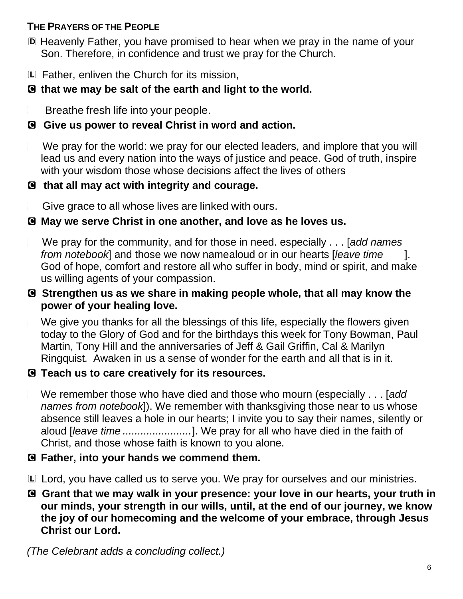## **THE PRAYERS OF THE PEOPLE**

- D Heavenly Father, you have promised to hear when we pray in the name of your Son. Therefore, in confidence and trust we pray for the Church.
- L Father, enliven the Church for its mission,

# C **that we may be salt of the earth and light to the world.**

Breathe fresh life into your people.

## C **Give us power to reveal Christ in word and action.**

We pray for the world: we pray for our elected leaders, and implore that you will lead us and every nation into the ways of justice and peace. God of truth, inspire with your wisdom those whose decisions affect the lives of others

## C **that all may act with integrity and courage.**

Give grace to all whose lives are linked with ours.

## C **May we serve Christ in one another, and love as he loves us.**

<sup>L</sup> We pray for the community, and for those in need. especially . . . [*add names from notebook*] and those we now namealoud or in our hearts [*leave time* ]. God of hope, comfort and restore all who suffer in body, mind or spirit, and make us willing agents of your compassion.

#### C **Strengthen us as we share in making people whole, that all may know the power of your healing love.**

We give you thanks for all the blessings of this life, especially the flowers given today to the Glory of God and for the birthdays this week for Tony Bowman, Paul Martin, Tony Hill and the anniversaries of Jeff & Gail Griffin, Cal & Marilyn Ringquist*.* Awaken in us a sense of wonder for the earth and all that is in it.

### C **Teach us to care creatively for its resources.**

<sup>L</sup> We remember those who have died and those who mourn (especially . . . [*add names from notebook*]). We remember with thanksgiving those near to us whose absence still leaves a hole in our hearts; I invite you to say their names, silently or aloud [*leave time .......................*]. We pray for all who have died in the faith of Christ, and those whose faith is known to you alone.

### C **Father, into your hands we commend them.**

L Lord, you have called us to serve you. We pray for ourselves and our ministries.

C **Grant that we may walk in your presence: your love in our hearts, your truth in our minds, your strength in our wills, until, at the end of our journey, we know the joy of our homecoming and the welcome of your embrace, through Jesus Christ our Lord.**

*(The Celebrant adds a concluding collect.)*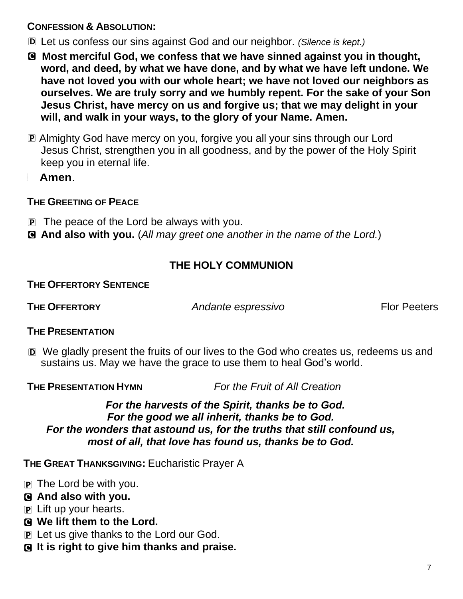#### **CONFESSION & ABSOLUTION:**

- D Let us confess our sins against God and our neighbor. *(Silence is kept.)*
- C **Most merciful God, we confess that we have sinned against you in thought, word, and deed, by what we have done, and by what we have left undone. We have not loved you with our whole heart; we have not loved our neighbors as ourselves. We are truly sorry and we humbly repent. For the sake of your Son Jesus Christ, have mercy on us and forgive us; that we may delight in your will, and walk in your ways, to the glory of your Name. Amen.**
- P Almighty God have mercy on you, forgive you all your sins through our Lord Jesus Christ, strengthen you in all goodness, and by the power of the Holy Spirit keep you in eternal life.

<sup>C</sup> **Amen**.

### **THE GREETING OF PEACE**

- P The peace of the Lord be always with you.
- C **And also with you.** (*All may greet one another in the name of the Lord.*)

# **THE HOLY COMMUNION**

#### **THE OFFERTORY SENTENCE**

**THE OFFERTORY** *Andante espressivo* Flor Peeters

### **THE PRESENTATION**

D We gladly present the fruits of our lives to the God who creates us, redeems us and sustains us. May we have the grace to use them to heal God's world.

**THE PRESENTATION HYMN** *For the Fruit of All Creation*

#### *For the harvests of the Spirit, thanks be to God. For the good we all inherit, thanks be to God. For the wonders that astound us, for the truths that still confound us, most of all, that love has found us, thanks be to God.*

**THE GREAT THANKSGIVING:** Eucharistic Prayer A

- P The Lord be with you.
- C **And also with you.**
- P Lift up your hearts.
- C **We lift them to the Lord.**
- P Let us give thanks to the Lord our God.
- C **It is right to give him thanks and praise.**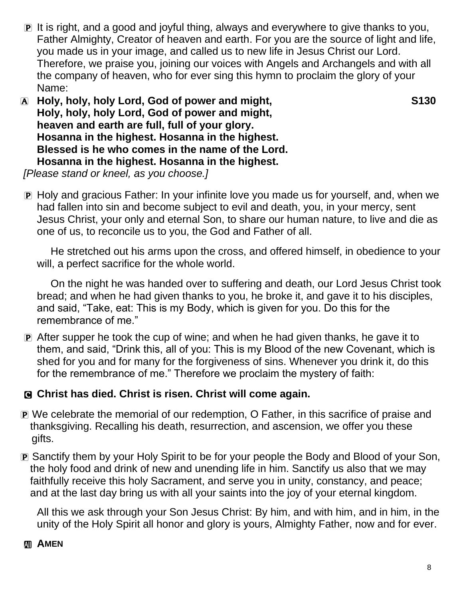- P It is right, and a good and joyful thing, always and everywhere to give thanks to you, Father Almighty, Creator of heaven and earth. For you are the source of light and life, you made us in your image, and called us to new life in Jesus Christ our Lord. Therefore, we praise you, joining our voices with Angels and Archangels and with all the company of heaven, who for ever sing this hymn to proclaim the glory of your Name:
- A **Holy, holy, holy Lord, God of power and might, S130 Holy, holy, holy Lord, God of power and might, heaven and earth are full, full of your glory. Hosanna in the highest. Hosanna in the highest. Blessed is he who comes in the name of the Lord. Hosanna in the highest. Hosanna in the highest.**

*[Please stand or kneel, as you choose.]*

P Holy and gracious Father: In your infinite love you made us for yourself, and, when we had fallen into sin and become subject to evil and death, you, in your mercy, sent Jesus Christ, your only and eternal Son, to share our human nature, to live and die as one of us, to reconcile us to you, the God and Father of all.

He stretched out his arms upon the cross, and offered himself, in obedience to your will, a perfect sacrifice for the whole world.

On the night he was handed over to suffering and death, our Lord Jesus Christ took bread; and when he had given thanks to you, he broke it, and gave it to his disciples, and said, "Take, eat: This is my Body, which is given for you. Do this for the remembrance of me."

P After supper he took the cup of wine; and when he had given thanks, he gave it to them, and said, "Drink this, all of you: This is my Blood of the new Covenant, which is shed for you and for many for the forgiveness of sins. Whenever you drink it, do this for the remembrance of me." Therefore we proclaim the mystery of faith:

### C **Christ has died. Christ is risen. Christ will come again.**

- P We celebrate the memorial of our redemption, O Father, in this sacrifice of praise and thanksgiving. Recalling his death, resurrection, and ascension, we offer you these gifts.
- P Sanctify them by your Holy Spirit to be for your people the Body and Blood of your Son, the holy food and drink of new and unending life in him. Sanctify us also that we may faithfully receive this holy Sacrament, and serve you in unity, constancy, and peace; and at the last day bring us with all your saints into the joy of your eternal kingdom.

All this we ask through your Son Jesus Christ: By him, and with him, and in him, in the unity of the Holy Spirit all honor and glory is yours, Almighty Father, now and for ever.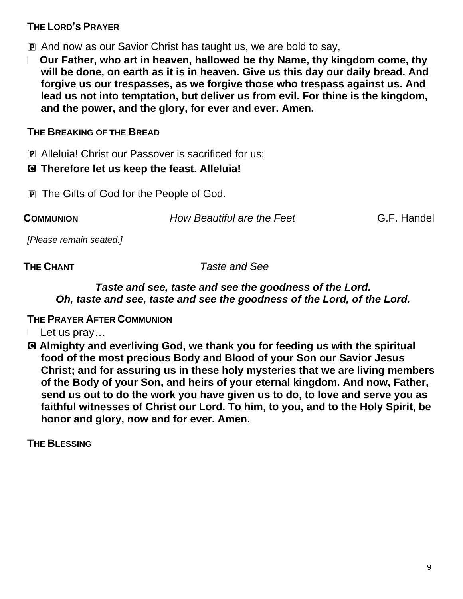#### **THE LORD'S PRAYER**

P And now as our Savior Christ has taught us, we are bold to say,

<sup>a</sup> **Our Father, who art in heaven, hallowed be thy Name, thy kingdom come, thy will be done, on earth as it is in heaven. Give us this day our daily bread. And forgive us our trespasses, as we forgive those who trespass against us. And lead us not into temptation, but deliver us from evil. For thine is the kingdom, and the power, and the glory, for ever and ever. Amen.**

#### **THE BREAKING OF THE BREAD**

P Alleluia! Christ our Passover is sacrificed for us;

#### C **Therefore let us keep the feast. Alleluia!**

**P** The Gifts of God for the People of God.

**COMMUNION** *How Beautiful are the Feet* G.F. Handel

*[Please remain seated.]*

**THE CHANT** *Taste and See*

#### *Taste and see, taste and see the goodness of the Lord. Oh, taste and see, taste and see the goodness of the Lord, of the Lord.*

**THE PRAYER AFTER COMMUNION**

Let us pray...

C **Almighty and everliving God, we thank you for feeding us with the spiritual food of the most precious Body and Blood of your Son our Savior Jesus Christ; and for assuring us in these holy mysteries that we are living members of the Body of your Son, and heirs of your eternal kingdom. And now, Father, send us out to do the work you have given us to do, to love and serve you as faithful witnesses of Christ our Lord. To him, to you, and to the Holy Spirit, be honor and glory, now and for ever. Amen.**

**THE BLESSING**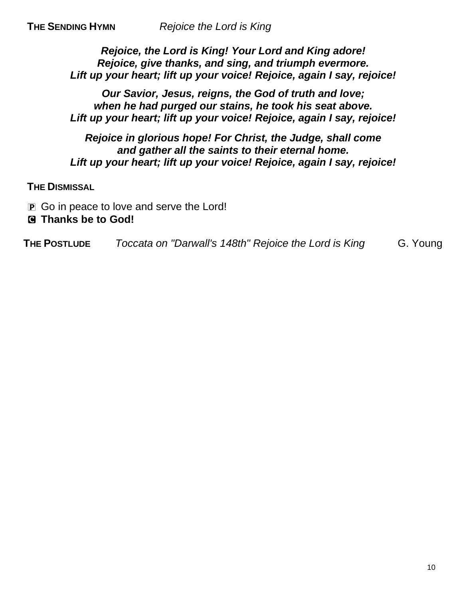*Rejoice, the Lord is King! Your Lord and King adore! Rejoice, give thanks, and sing, and triumph evermore. Lift up your heart; lift up your voice! Rejoice, again I say, rejoice!*

*Our Savior, Jesus, reigns, the God of truth and love; when he had purged our stains, he took his seat above. Lift up your heart; lift up your voice! Rejoice, again I say, rejoice!*

*Rejoice in glorious hope! For Christ, the Judge, shall come and gather all the saints to their eternal home. Lift up your heart; lift up your voice! Rejoice, again I say, rejoice!*

**THE DISMISSAL**

**P** Go in peace to love and serve the Lord!

#### C **Thanks be to God!**

**THE POSTLUDE** *Toccata on "Darwall's 148th" Rejoice the Lord is King* G. Young